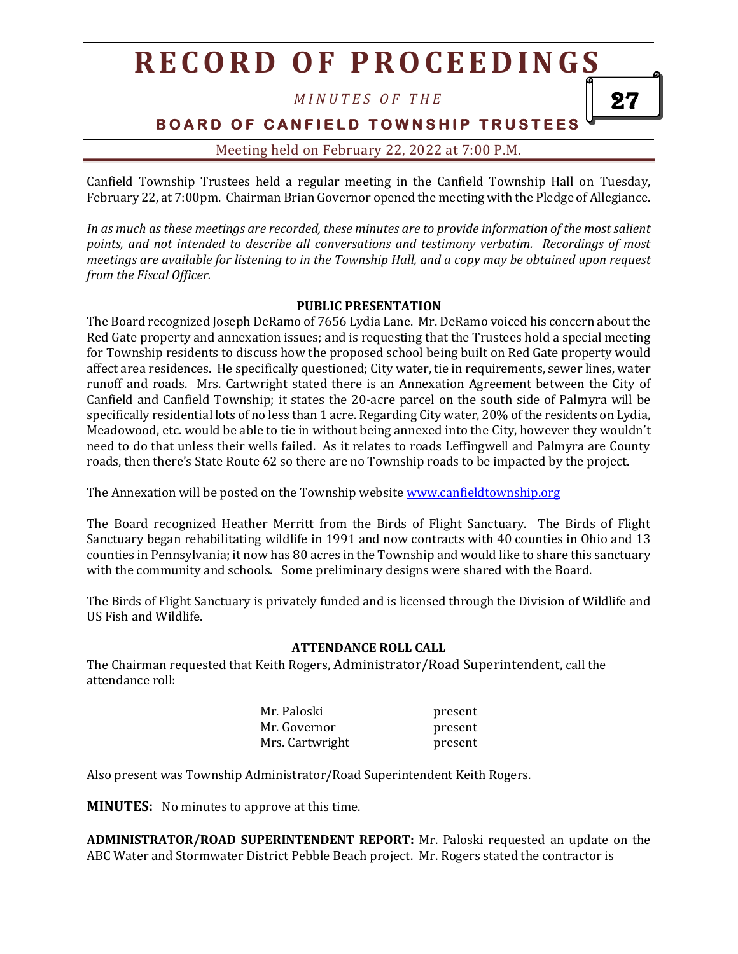*M I N U T E S O F T H E*

**BOARD OF CANFIELD TOWNSHIP TRUSTEES** 

27

Meeting held on February 22, 2022 at 7:00 P.M.

Canfield Township Trustees held a regular meeting in the Canfield Township Hall on Tuesday, February 22, at 7:00pm. Chairman Brian Governor opened the meeting with the Pledge of Allegiance.

*In as much as these meetings are recorded, these minutes are to provide information of the most salient points, and not intended to describe all conversations and testimony verbatim. Recordings of most meetings are available for listening to in the Township Hall, and a copy may be obtained upon request from the Fiscal Officer.*

#### **PUBLIC PRESENTATION**

The Board recognized Joseph DeRamo of 7656 Lydia Lane. Mr. DeRamo voiced his concern about the Red Gate property and annexation issues; and is requesting that the Trustees hold a special meeting for Township residents to discuss how the proposed school being built on Red Gate property would affect area residences. He specifically questioned; City water, tie in requirements, sewer lines, water runoff and roads. Mrs. Cartwright stated there is an Annexation Agreement between the City of Canfield and Canfield Township; it states the 20-acre parcel on the south side of Palmyra will be specifically residential lots of no less than 1 acre. Regarding City water, 20% of the residents on Lydia, Meadowood, etc. would be able to tie in without being annexed into the City, however they wouldn't need to do that unless their wells failed. As it relates to roads Leffingwell and Palmyra are County roads, then there's State Route 62 so there are no Township roads to be impacted by the project.

The Annexation will be posted on the Township websit[e www.canfieldtownship.org](http://www.canfieldtownship.org/)

The Board recognized Heather Merritt from the Birds of Flight Sanctuary. The Birds of Flight Sanctuary began rehabilitating wildlife in 1991 and now contracts with 40 counties in Ohio and 13 counties in Pennsylvania; it now has 80 acres in the Township and would like to share this sanctuary with the community and schools. Some preliminary designs were shared with the Board.

The Birds of Flight Sanctuary is privately funded and is licensed through the Division of Wildlife and US Fish and Wildlife.

#### **ATTENDANCE ROLL CALL**

The Chairman requested that Keith Rogers, Administrator/Road Superintendent, call the attendance roll:

| Mr. Paloski     | present |
|-----------------|---------|
| Mr. Governor    | present |
| Mrs. Cartwright | present |

Also present was Township Administrator/Road Superintendent Keith Rogers.

**MINUTES:** No minutes to approve at this time.

**ADMINISTRATOR/ROAD SUPERINTENDENT REPORT:** Mr. Paloski requested an update on the ABC Water and Stormwater District Pebble Beach project. Mr. Rogers stated the contractor is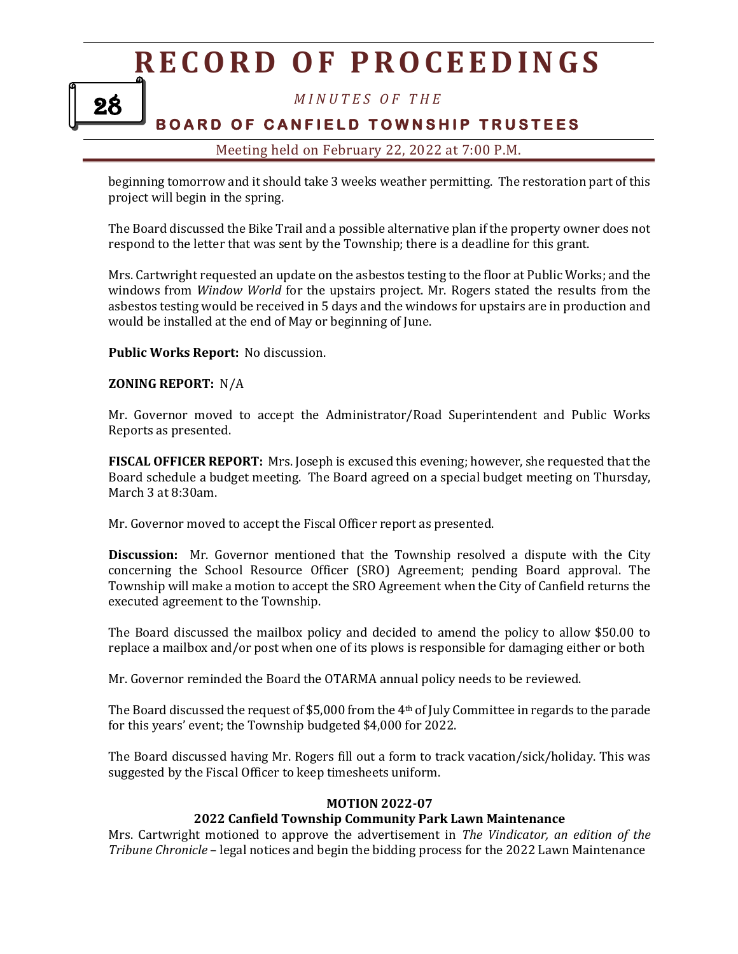28

*M I N U T E S O F T H E*

### **BOARD OF CANFIELD TOWNSHIP TRUSTEES**

### Meeting held on February 22, 2022 at 7:00 P.M.

beginning tomorrow and it should take 3 weeks weather permitting. The restoration part of this project will begin in the spring.

The Board discussed the Bike Trail and a possible alternative plan if the property owner does not respond to the letter that was sent by the Township; there is a deadline for this grant.

Mrs. Cartwright requested an update on the asbestos testing to the floor at Public Works; and the windows from *Window World* for the upstairs project. Mr. Rogers stated the results from the asbestos testing would be received in 5 days and the windows for upstairs are in production and would be installed at the end of May or beginning of June.

#### **Public Works Report:** No discussion.

#### **ZONING REPORT:** N/A

Mr. Governor moved to accept the Administrator/Road Superintendent and Public Works Reports as presented.

**FISCAL OFFICER REPORT:** Mrs. Joseph is excused this evening; however, she requested that the Board schedule a budget meeting. The Board agreed on a special budget meeting on Thursday, March 3 at 8:30am.

Mr. Governor moved to accept the Fiscal Officer report as presented.

**Discussion:** Mr. Governor mentioned that the Township resolved a dispute with the City concerning the School Resource Officer (SRO) Agreement; pending Board approval. The Township will make a motion to accept the SRO Agreement when the City of Canfield returns the executed agreement to the Township.

The Board discussed the mailbox policy and decided to amend the policy to allow \$50.00 to replace a mailbox and/or post when one of its plows is responsible for damaging either or both

Mr. Governor reminded the Board the OTARMA annual policy needs to be reviewed.

The Board discussed the request of \$5,000 from the 4th of July Committee in regards to the parade for this years' event; the Township budgeted \$4,000 for 2022.

The Board discussed having Mr. Rogers fill out a form to track vacation/sick/holiday. This was suggested by the Fiscal Officer to keep timesheets uniform.

#### **MOTION 2022-07**

### **2022 Canfield Township Community Park Lawn Maintenance**

Mrs. Cartwright motioned to approve the advertisement in *The Vindicator, an edition of the Tribune Chronicle* – legal notices and begin the bidding process for the 2022 Lawn Maintenance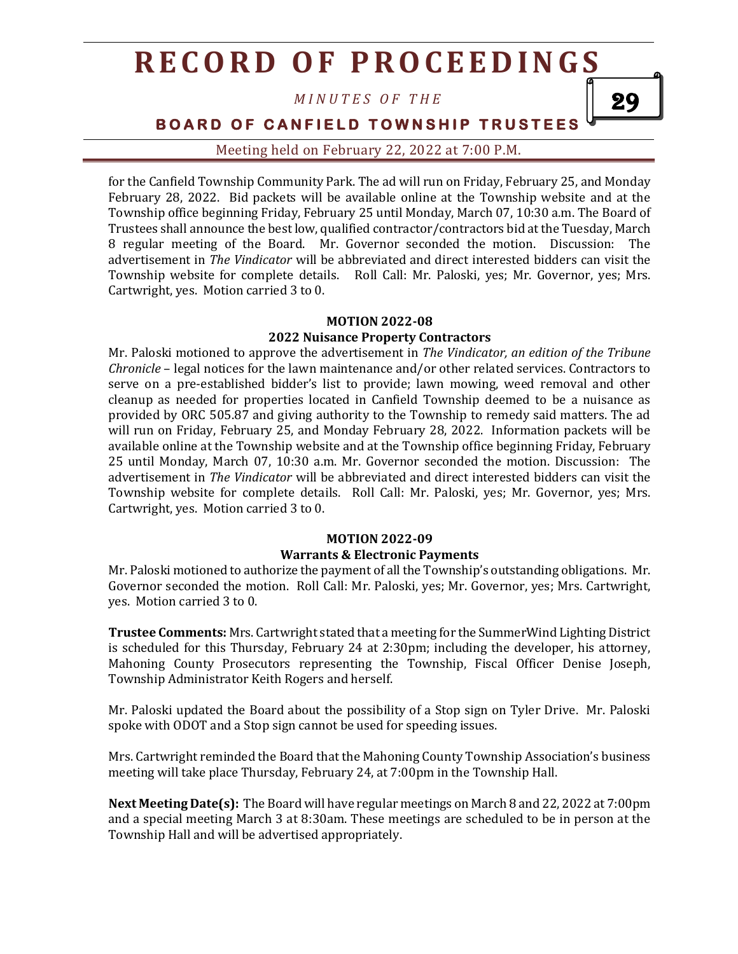*M I N U T E S O F T H E*

**BOARD OF CANFIELD TOWNSHIP TRUSTEES** 

29

Meeting held on February 22, 2022 at 7:00 P.M.

for the Canfield Township Community Park. The ad will run on Friday, February 25, and Monday February 28, 2022. Bid packets will be available online at the Township website and at the Township office beginning Friday, February 25 until Monday, March 07, 10:30 a.m. The Board of Trustees shall announce the best low, qualified contractor/contractors bid at the Tuesday, March 8 regular meeting of the Board. Mr. Governor seconded the motion. Discussion: The advertisement in *The Vindicator* will be abbreviated and direct interested bidders can visit the Township website for complete details. Roll Call: Mr. Paloski, yes; Mr. Governor, yes; Mrs. Cartwright, yes. Motion carried 3 to 0.

### **MOTION 2022-08**

#### **2022 Nuisance Property Contractors**

Mr. Paloski motioned to approve the advertisement in *The Vindicator, an edition of the Tribune Chronicle* – legal notices for the lawn maintenance and/or other related services. Contractors to serve on a pre-established bidder's list to provide; lawn mowing, weed removal and other cleanup as needed for properties located in Canfield Township deemed to be a nuisance as provided by ORC 505.87 and giving authority to the Township to remedy said matters. The ad will run on Friday, February 25, and Monday February 28, 2022. Information packets will be available online at the Township website and at the Township office beginning Friday, February 25 until Monday, March 07, 10:30 a.m. Mr. Governor seconded the motion. Discussion: The advertisement in *The Vindicator* will be abbreviated and direct interested bidders can visit the Township website for complete details. Roll Call: Mr. Paloski, yes; Mr. Governor, yes; Mrs. Cartwright, yes. Motion carried 3 to 0.

#### **MOTION 2022-09 Warrants & Electronic Payments**

Mr. Paloski motioned to authorize the payment of all the Township's outstanding obligations. Mr. Governor seconded the motion. Roll Call: Mr. Paloski, yes; Mr. Governor, yes; Mrs. Cartwright, yes. Motion carried 3 to 0.

**Trustee Comments:** Mrs. Cartwright stated that a meeting for the SummerWind Lighting District is scheduled for this Thursday, February 24 at 2:30pm; including the developer, his attorney, Mahoning County Prosecutors representing the Township, Fiscal Officer Denise Joseph, Township Administrator Keith Rogers and herself.

Mr. Paloski updated the Board about the possibility of a Stop sign on Tyler Drive. Mr. Paloski spoke with ODOT and a Stop sign cannot be used for speeding issues.

Mrs. Cartwright reminded the Board that the Mahoning County Township Association's business meeting will take place Thursday, February 24, at 7:00pm in the Township Hall.

**Next Meeting Date(s):** The Board will have regular meetings on March 8 and 22, 2022 at 7:00pm and a special meeting March 3 at 8:30am. These meetings are scheduled to be in person at the Township Hall and will be advertised appropriately.